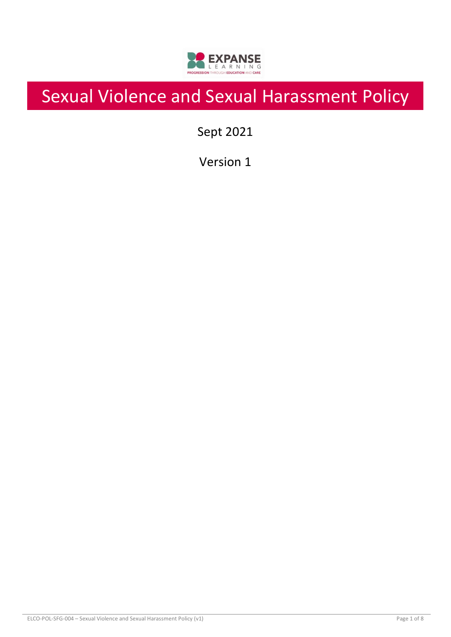

# Sexual Violence and Sexual Harassment Policy

Sept 2021

Version 1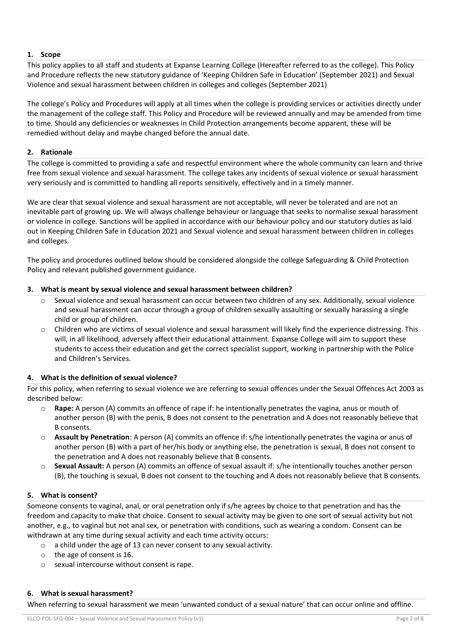# **1. Scope**

This policy applies to all staff and students at Expanse Learning College (Hereafter referred to as the college). This Policy and Procedure reflects the new statutory guidance of 'Keeping Children Safe in Education' (September 2021) and Sexual Violence and sexual harassment between children in colleges and colleges (September 2021)

The college's Policy and Procedures will apply at all times when the college is providing services or activities directly under the management of the college staff. This Policy and Procedure will be reviewed annually and may be amended from time to time. Should any deficiencies or weaknesses in Child Protection arrangements become apparent, these will be remedied without delay and maybe changed before the annual date.

# **2. Rationale**

The college is committed to providing a safe and respectful environment where the whole community can learn and thrive free from sexual violence and sexual harassment. The college takes any incidents of sexual violence or sexual harassment very seriously and is committed to handling all reports sensitively, effectively and in a timely manner.

We are clear that sexual violence and sexual harassment are not acceptable, will never be tolerated and are not an inevitable part of growing up. We will always challenge behaviour or language that seeks to normalise sexual harassment or violence in college. Sanctions will be applied in accordance with our behaviour policy and our statutory duties as laid out in Keeping Children Safe in Education 2021 and Sexual violence and sexual harassment between children in colleges and colleges.

The policy and procedures outlined below should be considered alongside the college Safeguarding & Child Protection Policy and relevant published government guidance.

# **3. What is meant by sexual violence and sexual harassment between children?**

- Sexual violence and sexual harassment can occur between two children of any sex. Additionally, sexual violence and sexual harassment can occur through a group of children sexually assaulting or sexually harassing a single child or group of children.
- $\circ$  Children who are victims of sexual violence and sexual harassment will likely find the experience distressing. This will, in all likelihood, adversely affect their educational attainment. Expanse College will aim to support these students to access their education and get the correct specialist support, working in partnership with the Police and Children's Services.

# **4. What is the definition of sexual violence?**

For this policy, when referring to sexual violence we are referring to sexual offences under the Sexual Offences Act 2003 as described below:

- o **Rape:** A person (A) commits an offence of rape if: he intentionally penetrates the vagina, anus or mouth of another person (B) with the penis, B does not consent to the penetration and A does not reasonably believe that B consents.
- o **Assault by Penetration**: A person (A) commits an offence if: s/he intentionally penetrates the vagina or anus of another person (B) with a part of her/his body or anything else, the penetration is sexual, B does not consent to the penetration and A does not reasonably believe that B consents.
- o **Sexual Assault:** A person (A) commits an offence of sexual assault if: s/he intentionally touches another person (B), the touching is sexual, B does not consent to the touching and A does not reasonably believe that B consents.

# **5. What is consent?**

Someone consents to vaginal, anal, or oral penetration only if s/he agrees by choice to that penetration and has the freedom and capacity to make that choice. Consent to sexual activity may be given to one sort of sexual activity but not another, e.g., to vaginal but not anal sex, or penetration with conditions, such as wearing a condom. Consent can be withdrawn at any time during sexual activity and each time activity occurs:

- o a child under the age of 13 can never consent to any sexual activity.
- o the age of consent is 16.
- o sexual intercourse without consent is rape.

# **6. What is sexual harassment?**

When referring to sexual harassment we mean 'unwanted conduct of a sexual nature' that can occur online and offline.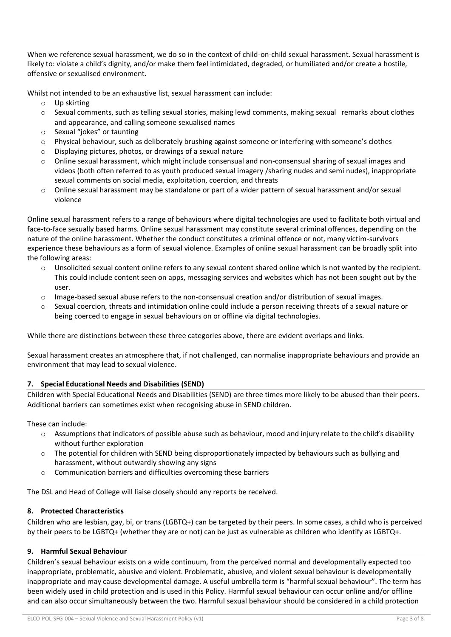When we reference sexual harassment, we do so in the context of child-on-child sexual harassment. Sexual harassment is likely to: violate a child's dignity, and/or make them feel intimidated, degraded, or humiliated and/or create a hostile, offensive or sexualised environment.

Whilst not intended to be an exhaustive list, sexual harassment can include:

- o Up skirting
- $\circ$  Sexual comments, such as telling sexual stories, making lewd comments, making sexual remarks about clothes and appearance, and calling someone sexualised names
- o Sexual "jokes" or taunting
- $\circ$  Physical behaviour, such as deliberately brushing against someone or interfering with someone's clothes
- o Displaying pictures, photos, or drawings of a sexual nature
- o Online sexual harassment, which might include consensual and non-consensual sharing of sexual images and videos (both often referred to as youth produced sexual imagery /sharing nudes and semi nudes), inappropriate sexual comments on social media, exploitation, coercion, and threats
- o Online sexual harassment may be standalone or part of a wider pattern of sexual harassment and/or sexual violence

Online sexual harassment refers to a range of behaviours where digital technologies are used to facilitate both virtual and face-to-face sexually based harms. Online sexual harassment may constitute several criminal offences, depending on the nature of the online harassment. Whether the conduct constitutes a criminal offence or not, many victim-survivors experience these behaviours as a form of sexual violence. Examples of online sexual harassment can be broadly split into the following areas:

- o Unsolicited sexual content online refers to any sexual content shared online which is not wanted by the recipient. This could include content seen on apps, messaging services and websites which has not been sought out by the user.
- $\circ$  Image-based sexual abuse refers to the non-consensual creation and/or distribution of sexual images.
- o Sexual coercion, threats and intimidation online could include a person receiving threats of a sexual nature or being coerced to engage in sexual behaviours on or offline via digital technologies.

While there are distinctions between these three categories above, there are evident overlaps and links.

Sexual harassment creates an atmosphere that, if not challenged, can normalise inappropriate behaviours and provide an environment that may lead to sexual violence.

# **7. Special Educational Needs and Disabilities (SEND)**

Children with Special Educational Needs and Disabilities (SEND) are three times more likely to be abused than their peers. Additional barriers can sometimes exist when recognising abuse in SEND children.

These can include:

- o Assumptions that indicators of possible abuse such as behaviour, mood and injury relate to the child's disability without further exploration
- o The potential for children with SEND being disproportionately impacted by behaviours such as bullying and harassment, without outwardly showing any signs
- o Communication barriers and difficulties overcoming these barriers

The DSL and Head of College will liaise closely should any reports be received.

# **8. Protected Characteristics**

Children who are lesbian, gay, bi, or trans (LGBTQ+) can be targeted by their peers. In some cases, a child who is perceived by their peers to be LGBTQ+ (whether they are or not) can be just as vulnerable as children who identify as LGBTQ+.

# **9. Harmful Sexual Behaviour**

Children's sexual behaviour exists on a wide continuum, from the perceived normal and developmentally expected too inappropriate, problematic, abusive and violent. Problematic, abusive, and violent sexual behaviour is developmentally inappropriate and may cause developmental damage. A useful umbrella term is "harmful sexual behaviour". The term has been widely used in child protection and is used in this Policy. Harmful sexual behaviour can occur online and/or offline and can also occur simultaneously between the two. Harmful sexual behaviour should be considered in a child protection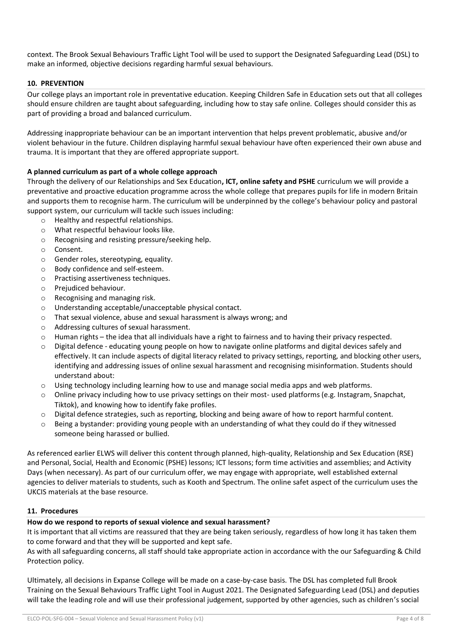context. The Brook Sexual Behaviours Traffic Light Tool will be used to support the Designated Safeguarding Lead (DSL) to make an informed, objective decisions regarding harmful sexual behaviours.

### **10. PREVENTION**

Our college plays an important role in preventative education. Keeping Children Safe in Education sets out that all colleges should ensure children are taught about safeguarding, including how to stay safe online. Colleges should consider this as part of providing a broad and balanced curriculum.

Addressing inappropriate behaviour can be an important intervention that helps prevent problematic, abusive and/or violent behaviour in the future. Children displaying harmful sexual behaviour have often experienced their own abuse and trauma. It is important that they are offered appropriate support.

#### **A planned curriculum as part of a whole college approach**

Through the delivery of our Relationships and Sex Education**, ICT, online safety and PSHE** curriculum we will provide a preventative and proactive education programme across the whole college that prepares pupils for life in modern Britain and supports them to recognise harm. The curriculum will be underpinned by the college's behaviour policy and pastoral support system, our curriculum will tackle such issues including:

- o Healthy and respectful relationships.
- o What respectful behaviour looks like.
- o Recognising and resisting pressure/seeking help.
- o Consent.
- o Gender roles, stereotyping, equality.
- o Body confidence and self-esteem.
- o Practising assertiveness techniques.
- o Prejudiced behaviour.
- o Recognising and managing risk.
- o Understanding acceptable/unacceptable physical contact.
- o That sexual violence, abuse and sexual harassment is always wrong; and
- o Addressing cultures of sexual harassment.
- $\circ$  Human rights the idea that all individuals have a right to fairness and to having their privacy respected.
- $\circ$  Digital defence educating young people on how to navigate online platforms and digital devices safely and effectively. It can include aspects of digital literacy related to privacy settings, reporting, and blocking other users, identifying and addressing issues of online sexual harassment and recognising misinformation. Students should understand about:
- $\circ$  Using technology including learning how to use and manage social media apps and web platforms.
- $\circ$  Online privacy including how to use privacy settings on their most- used platforms (e.g. Instagram, Snapchat, Tiktok), and knowing how to identify fake profiles.
- o Digital defence strategies, such as reporting, blocking and being aware of how to report harmful content.
- $\circ$  Being a bystander: providing young people with an understanding of what they could do if they witnessed someone being harassed or bullied.

As referenced earlier ELWS will deliver this content through planned, high-quality, Relationship and Sex Education (RSE) and Personal, Social, Health and Economic (PSHE) lessons; ICT lessons; form time activities and assemblies; and Activity Days (when necessary). As part of our curriculum offer, we may engage with appropriate, well established external agencies to deliver materials to students, such as Kooth and Spectrum. The online safet aspect of the curriculum uses the UKCIS materials at the base resource.

#### **11. Procedures**

#### **How do we respond to reports of sexual violence and sexual harassment?**

It is important that all victims are reassured that they are being taken seriously, regardless of how long it has taken them to come forward and that they will be supported and kept safe.

As with all safeguarding concerns, all staff should take appropriate action in accordance with the our Safeguarding & Child Protection policy.

Ultimately, all decisions in Expanse College will be made on a case-by-case basis. The DSL has completed full Brook Training on the Sexual Behaviours Traffic Light Tool in August 2021. The Designated Safeguarding Lead (DSL) and deputies will take the leading role and will use their professional judgement, supported by other agencies, such as children's social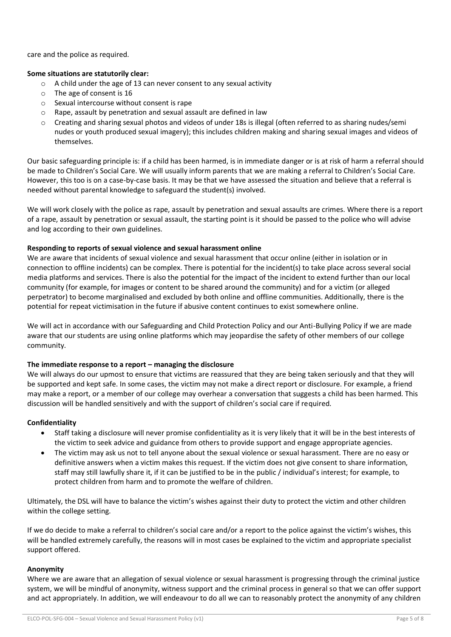care and the police as required.

### **Some situations are statutorily clear:**

- o A child under the age of 13 can never consent to any sexual activity
- o The age of consent is 16
- o Sexual intercourse without consent is rape
- o Rape, assault by penetration and sexual assault are defined in law
- o Creating and sharing sexual photos and videos of under 18s is illegal (often referred to as sharing nudes/semi nudes or youth produced sexual imagery); this includes children making and sharing sexual images and videos of themselves.

Our basic safeguarding principle is: if a child has been harmed, is in immediate danger or is at risk of harm a referral should be made to Children's Social Care. We will usually inform parents that we are making a referral to Children's Social Care. However, this too is on a case-by-case basis. It may be that we have assessed the situation and believe that a referral is needed without parental knowledge to safeguard the student(s) involved.

We will work closely with the police as rape, assault by penetration and sexual assaults are crimes. Where there is a report of a rape, assault by penetration or sexual assault, the starting point is it should be passed to the police who will advise and log according to their own guidelines.

#### **Responding to reports of sexual violence and sexual harassment online**

We are aware that incidents of sexual violence and sexual harassment that occur online (either in isolation or in connection to offline incidents) can be complex. There is potential for the incident(s) to take place across several social media platforms and services. There is also the potential for the impact of the incident to extend further than our local community (for example, for images or content to be shared around the community) and for a victim (or alleged perpetrator) to become marginalised and excluded by both online and offline communities. Additionally, there is the potential for repeat victimisation in the future if abusive content continues to exist somewhere online.

We will act in accordance with our Safeguarding and Child Protection Policy and our Anti-Bullying Policy if we are made aware that our students are using online platforms which may jeopardise the safety of other members of our college community.

# **The immediate response to a report – managing the disclosure**

We will always do our upmost to ensure that victims are reassured that they are being taken seriously and that they will be supported and kept safe. In some cases, the victim may not make a direct report or disclosure. For example, a friend may make a report, or a member of our college may overhear a conversation that suggests a child has been harmed. This discussion will be handled sensitively and with the support of children's social care if required.

# **Confidentiality**

- Staff taking a disclosure will never promise confidentiality as it is very likely that it will be in the best interests of the victim to seek advice and guidance from others to provide support and engage appropriate agencies.
- The victim may ask us not to tell anyone about the sexual violence or sexual harassment. There are no easy or definitive answers when a victim makes this request. If the victim does not give consent to share information, staff may still lawfully share it, if it can be justified to be in the public / individual's interest; for example, to protect children from harm and to promote the welfare of children.

Ultimately, the DSL will have to balance the victim's wishes against their duty to protect the victim and other children within the college setting.

If we do decide to make a referral to children's social care and/or a report to the police against the victim's wishes, this will be handled extremely carefully, the reasons will in most cases be explained to the victim and appropriate specialist support offered.

#### **Anonymity**

Where we are aware that an allegation of sexual violence or sexual harassment is progressing through the criminal justice system, we will be mindful of anonymity, witness support and the criminal process in general so that we can offer support and act appropriately. In addition, we will endeavour to do all we can to reasonably protect the anonymity of any children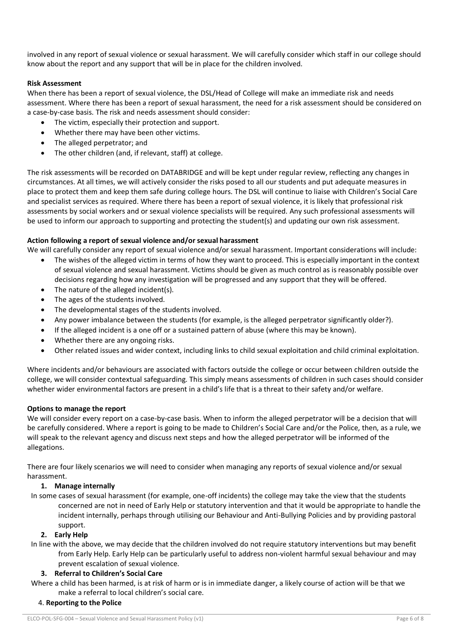involved in any report of sexual violence or sexual harassment. We will carefully consider which staff in our college should know about the report and any support that will be in place for the children involved.

### **Risk Assessment**

When there has been a report of sexual violence, the DSL/Head of College will make an immediate risk and needs assessment. Where there has been a report of sexual harassment, the need for a risk assessment should be considered on a case-by-case basis. The risk and needs assessment should consider:

- The victim, especially their protection and support.
- Whether there may have been other victims.
- The alleged perpetrator; and
- The other children (and, if relevant, staff) at college.

The risk assessments will be recorded on DATABRIDGE and will be kept under regular review, reflecting any changes in circumstances. At all times, we will actively consider the risks posed to all our students and put adequate measures in place to protect them and keep them safe during college hours. The DSL will continue to liaise with Children's Social Care and specialist services as required. Where there has been a report of sexual violence, it is likely that professional risk assessments by social workers and or sexual violence specialists will be required. Any such professional assessments will be used to inform our approach to supporting and protecting the student(s) and updating our own risk assessment.

#### **Action following a report of sexual violence and/or sexual harassment**

We will carefully consider any report of sexual violence and/or sexual harassment. Important considerations will include:

- The wishes of the alleged victim in terms of how they want to proceed. This is especially important in the context of sexual violence and sexual harassment. Victims should be given as much control as is reasonably possible over decisions regarding how any investigation will be progressed and any support that they will be offered.
- The nature of the alleged incident(s).
- The ages of the students involved.
- The developmental stages of the students involved.
- Any power imbalance between the students (for example, is the alleged perpetrator significantly older?).
- If the alleged incident is a one off or a sustained pattern of abuse (where this may be known).
- Whether there are any ongoing risks.
- Other related issues and wider context, including links to child sexual exploitation and child criminal exploitation.

Where incidents and/or behaviours are associated with factors outside the college or occur between children outside the college, we will consider contextual safeguarding. This simply means assessments of children in such cases should consider whether wider environmental factors are present in a child's life that is a threat to their safety and/or welfare.

# **Options to manage the report**

We will consider every report on a case-by-case basis. When to inform the alleged perpetrator will be a decision that will be carefully considered. Where a report is going to be made to Children's Social Care and/or the Police, then, as a rule, we will speak to the relevant agency and discuss next steps and how the alleged perpetrator will be informed of the allegations.

There are four likely scenarios we will need to consider when managing any reports of sexual violence and/or sexual harassment.

# **1. Manage internally**

In some cases of sexual harassment (for example, one-off incidents) the college may take the view that the students concerned are not in need of Early Help or statutory intervention and that it would be appropriate to handle the incident internally, perhaps through utilising our Behaviour and Anti-Bullying Policies and by providing pastoral support.

#### **2. Early Help**

In line with the above, we may decide that the children involved do not require statutory interventions but may benefit from Early Help. Early Help can be particularly useful to address non-violent harmful sexual behaviour and may prevent escalation of sexual violence.

#### **3. Referral to Children's Social Care**

Where a child has been harmed, is at risk of harm or is in immediate danger, a likely course of action will be that we make a referral to local children's social care.

#### 4. **Reporting to the Police**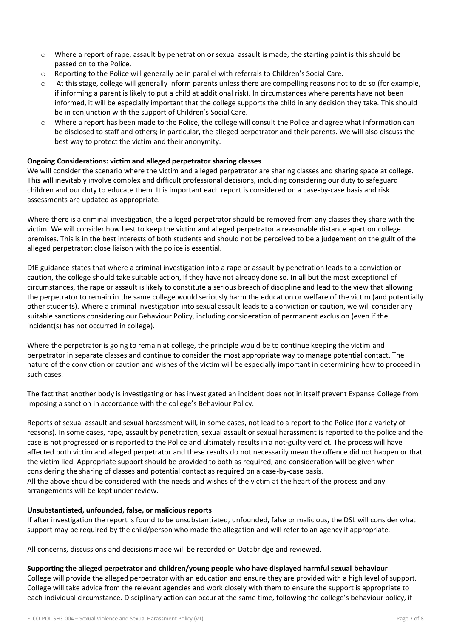- $\circ$  Where a report of rape, assault by penetration or sexual assault is made, the starting point is this should be passed on to the Police.
- o Reporting to the Police will generally be in parallel with referrals to Children's Social Care.
- o At this stage, college will generally inform parents unless there are compelling reasons not to do so (for example, if informing a parent is likely to put a child at additional risk). In circumstances where parents have not been informed, it will be especially important that the college supports the child in any decision they take. This should be in conjunction with the support of Children's Social Care.
- Where a report has been made to the Police, the college will consult the Police and agree what information can be disclosed to staff and others; in particular, the alleged perpetrator and their parents. We will also discuss the best way to protect the victim and their anonymity.

# **Ongoing Considerations: victim and alleged perpetrator sharing classes**

We will consider the scenario where the victim and alleged perpetrator are sharing classes and sharing space at college. This will inevitably involve complex and difficult professional decisions, including considering our duty to safeguard children and our duty to educate them. It is important each report is considered on a case-by-case basis and risk assessments are updated as appropriate.

Where there is a criminal investigation, the alleged perpetrator should be removed from any classes they share with the victim. We will consider how best to keep the victim and alleged perpetrator a reasonable distance apart on college premises. This is in the best interests of both students and should not be perceived to be a judgement on the guilt of the alleged perpetrator; close liaison with the police is essential.

DfE guidance states that where a criminal investigation into a rape or assault by penetration leads to a conviction or caution, the college should take suitable action, if they have not already done so. In all but the most exceptional of circumstances, the rape or assault is likely to constitute a serious breach of discipline and lead to the view that allowing the perpetrator to remain in the same college would seriously harm the education or welfare of the victim (and potentially other students). Where a criminal investigation into sexual assault leads to a conviction or caution, we will consider any suitable sanctions considering our Behaviour Policy, including consideration of permanent exclusion (even if the incident(s) has not occurred in college).

Where the perpetrator is going to remain at college, the principle would be to continue keeping the victim and perpetrator in separate classes and continue to consider the most appropriate way to manage potential contact. The nature of the conviction or caution and wishes of the victim will be especially important in determining how to proceed in such cases.

The fact that another body is investigating or has investigated an incident does not in itself prevent Expanse College from imposing a sanction in accordance with the college's Behaviour Policy.

Reports of sexual assault and sexual harassment will, in some cases, not lead to a report to the Police (for a variety of reasons). In some cases, rape, assault by penetration, sexual assault or sexual harassment is reported to the police and the case is not progressed or is reported to the Police and ultimately results in a not-guilty verdict. The process will have affected both victim and alleged perpetrator and these results do not necessarily mean the offence did not happen or that the victim lied. Appropriate support should be provided to both as required, and consideration will be given when considering the sharing of classes and potential contact as required on a case-by-case basis. All the above should be considered with the needs and wishes of the victim at the heart of the process and any arrangements will be kept under review.

# **Unsubstantiated, unfounded, false, or malicious reports**

If after investigation the report is found to be unsubstantiated, unfounded, false or malicious, the DSL will consider what support may be required by the child/person who made the allegation and will refer to an agency if appropriate.

All concerns, discussions and decisions made will be recorded on Databridge and reviewed.

#### **Supporting the alleged perpetrator and children/young people who have displayed harmful sexual behaviour**

College will provide the alleged perpetrator with an education and ensure they are provided with a high level of support. College will take advice from the relevant agencies and work closely with them to ensure the support is appropriate to each individual circumstance. Disciplinary action can occur at the same time, following the college's behaviour policy, if